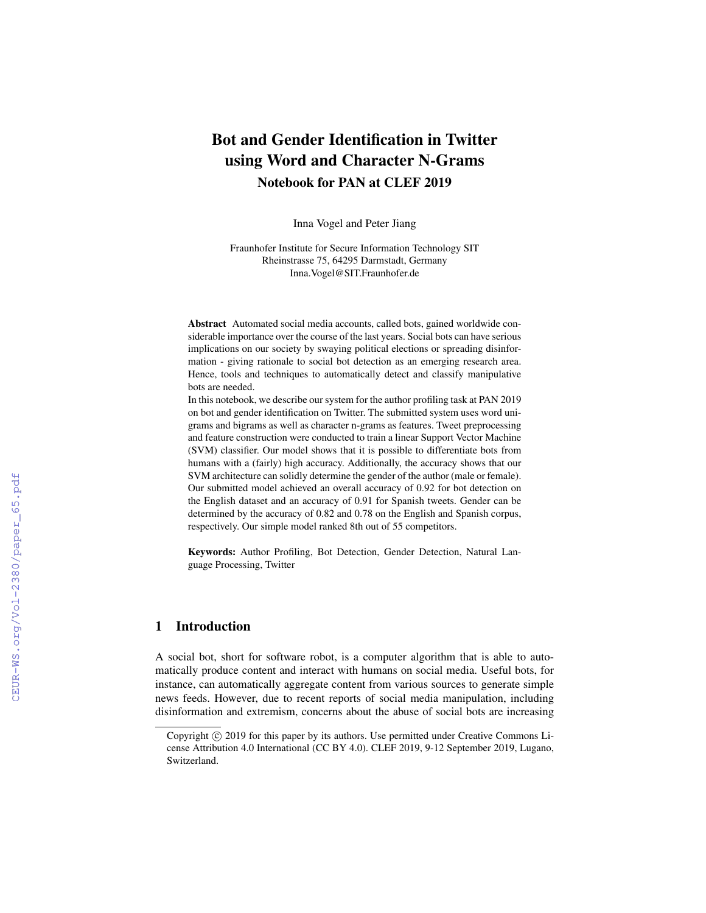# Bot and Gender Identification in Twitter using Word and Character N-Grams Notebook for PAN at CLEF 2019

Inna Vogel and Peter Jiang

Fraunhofer Institute for Secure Information Technology SIT Rheinstrasse 75, 64295 Darmstadt, Germany Inna.Vogel@SIT.Fraunhofer.de

Abstract Automated social media accounts, called bots, gained worldwide considerable importance over the course of the last years. Social bots can have serious implications on our society by swaying political elections or spreading disinformation - giving rationale to social bot detection as an emerging research area. Hence, tools and techniques to automatically detect and classify manipulative bots are needed.

In this notebook, we describe our system for the author profiling task at PAN 2019 on bot and gender identification on Twitter. The submitted system uses word unigrams and bigrams as well as character n-grams as features. Tweet preprocessing and feature construction were conducted to train a linear Support Vector Machine (SVM) classifier. Our model shows that it is possible to differentiate bots from humans with a (fairly) high accuracy. Additionally, the accuracy shows that our SVM architecture can solidly determine the gender of the author (male or female). Our submitted model achieved an overall accuracy of 0.92 for bot detection on the English dataset and an accuracy of 0.91 for Spanish tweets. Gender can be determined by the accuracy of 0.82 and 0.78 on the English and Spanish corpus, respectively. Our simple model ranked 8th out of 55 competitors.

Keywords: Author Profiling, Bot Detection, Gender Detection, Natural Language Processing, Twitter

# 1 Introduction

A social bot, short for software robot, is a computer algorithm that is able to automatically produce content and interact with humans on social media. Useful bots, for instance, can automatically aggregate content from various sources to generate simple news feeds. However, due to recent reports of social media manipulation, including disinformation and extremism, concerns about the abuse of social bots are increasing

Copyright © 2019 for this paper by its authors. Use permitted under Creative Commons License Attribution 4.0 International (CC BY 4.0). CLEF 2019, 9-12 September 2019, Lugano, Switzerland.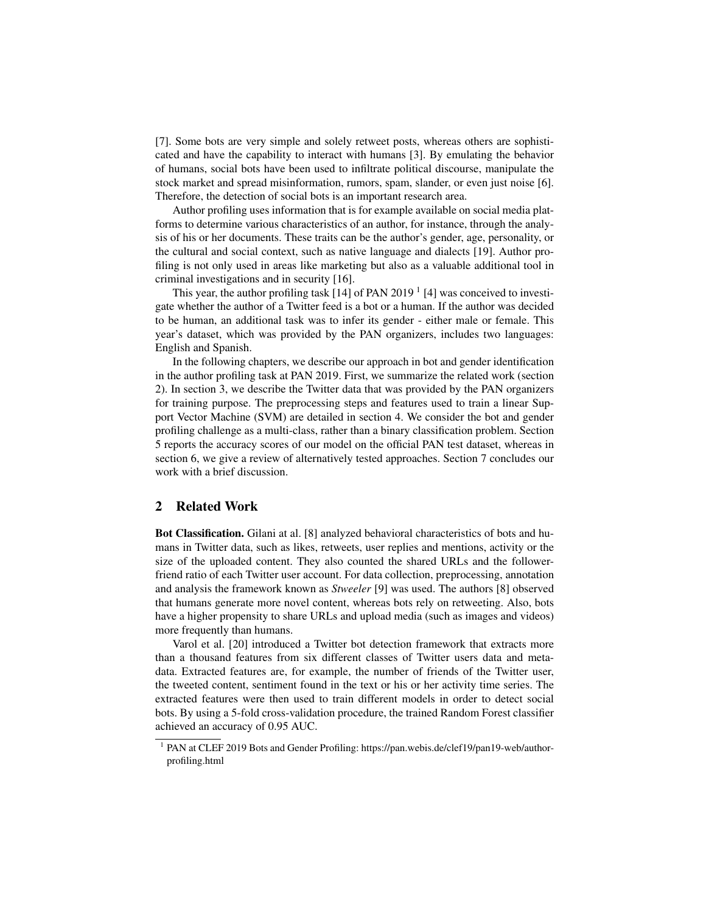[7]. Some bots are very simple and solely retweet posts, whereas others are sophisticated and have the capability to interact with humans [3]. By emulating the behavior of humans, social bots have been used to infiltrate political discourse, manipulate the stock market and spread misinformation, rumors, spam, slander, or even just noise [6]. Therefore, the detection of social bots is an important research area.

Author profiling uses information that is for example available on social media platforms to determine various characteristics of an author, for instance, through the analysis of his or her documents. These traits can be the author's gender, age, personality, or the cultural and social context, such as native language and dialects [19]. Author profiling is not only used in areas like marketing but also as a valuable additional tool in criminal investigations and in security [16].

This year, the author profiling task  $[14]$  of PAN 2019<sup>1</sup> [4] was conceived to investigate whether the author of a Twitter feed is a bot or a human. If the author was decided to be human, an additional task was to infer its gender - either male or female. This year's dataset, which was provided by the PAN organizers, includes two languages: English and Spanish.

In the following chapters, we describe our approach in bot and gender identification in the author profiling task at PAN 2019. First, we summarize the related work (section 2). In section 3, we describe the Twitter data that was provided by the PAN organizers for training purpose. The preprocessing steps and features used to train a linear Support Vector Machine (SVM) are detailed in section 4. We consider the bot and gender profiling challenge as a multi-class, rather than a binary classification problem. Section 5 reports the accuracy scores of our model on the official PAN test dataset, whereas in section 6, we give a review of alternatively tested approaches. Section 7 concludes our work with a brief discussion.

# 2 Related Work

Bot Classification. Gilani at al. [8] analyzed behavioral characteristics of bots and humans in Twitter data, such as likes, retweets, user replies and mentions, activity or the size of the uploaded content. They also counted the shared URLs and the followerfriend ratio of each Twitter user account. For data collection, preprocessing, annotation and analysis the framework known as *Stweeler* [9] was used. The authors [8] observed that humans generate more novel content, whereas bots rely on retweeting. Also, bots have a higher propensity to share URLs and upload media (such as images and videos) more frequently than humans.

Varol et al. [20] introduced a Twitter bot detection framework that extracts more than a thousand features from six different classes of Twitter users data and metadata. Extracted features are, for example, the number of friends of the Twitter user, the tweeted content, sentiment found in the text or his or her activity time series. The extracted features were then used to train different models in order to detect social bots. By using a 5-fold cross-validation procedure, the trained Random Forest classifier achieved an accuracy of 0.95 AUC.

<sup>&</sup>lt;sup>1</sup> PAN at CLEF 2019 Bots and Gender Profiling: https://pan.webis.de/clef19/pan19-web/authorprofiling.html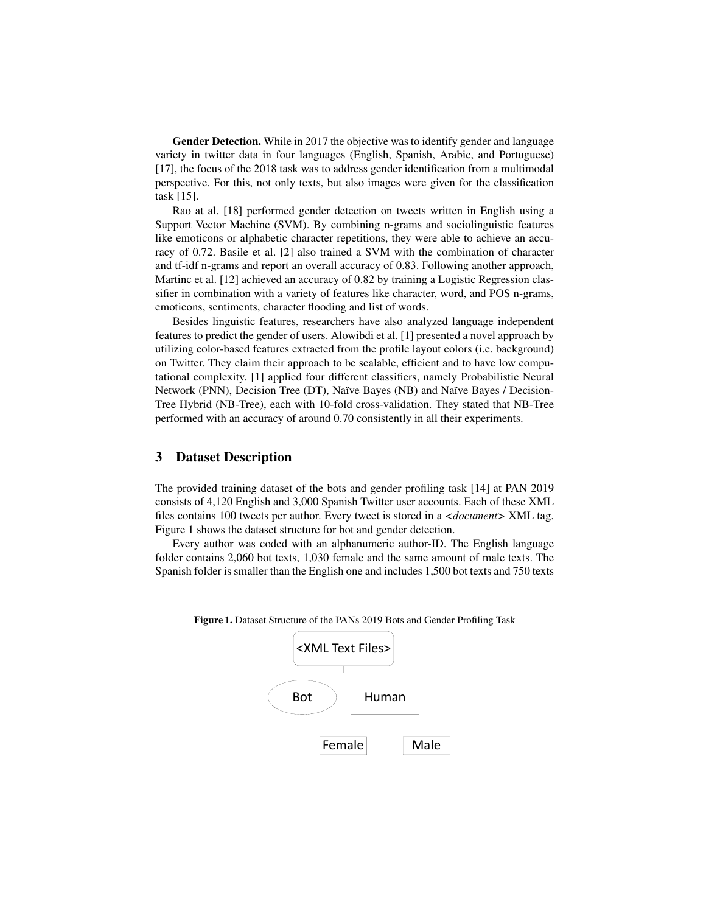Gender Detection. While in 2017 the objective was to identify gender and language variety in twitter data in four languages (English, Spanish, Arabic, and Portuguese) [17], the focus of the 2018 task was to address gender identification from a multimodal perspective. For this, not only texts, but also images were given for the classification task [15].

Rao at al. [18] performed gender detection on tweets written in English using a Support Vector Machine (SVM). By combining n-grams and sociolinguistic features like emoticons or alphabetic character repetitions, they were able to achieve an accuracy of 0.72. Basile et al. [2] also trained a SVM with the combination of character and tf-idf n-grams and report an overall accuracy of 0.83. Following another approach, Martinc et al. [12] achieved an accuracy of 0.82 by training a Logistic Regression classifier in combination with a variety of features like character, word, and POS n-grams, emoticons, sentiments, character flooding and list of words.

Besides linguistic features, researchers have also analyzed language independent features to predict the gender of users. Alowibdi et al. [1] presented a novel approach by utilizing color-based features extracted from the profile layout colors (i.e. background) on Twitter. They claim their approach to be scalable, efficient and to have low computational complexity. [1] applied four different classifiers, namely Probabilistic Neural Network (PNN), Decision Tree (DT), Naïve Bayes (NB) and Naïve Bayes / Decision-Tree Hybrid (NB-Tree), each with 10-fold cross-validation. They stated that NB-Tree performed with an accuracy of around 0.70 consistently in all their experiments.

### 3 Dataset Description

The provided training dataset of the bots and gender profiling task [14] at PAN 2019 consists of 4,120 English and 3,000 Spanish Twitter user accounts. Each of these XML files contains 100 tweets per author. Every tweet is stored in a *<document>* XML tag. Figure 1 shows the dataset structure for bot and gender detection.

Every author was coded with an alphanumeric author-ID. The English language folder contains 2,060 bot texts, 1,030 female and the same amount of male texts. The Spanish folder is smaller than the English one and includes 1,500 bot texts and 750 texts

| <xml files="" text=""></xml> |       |      |
|------------------------------|-------|------|
| <b>Bot</b>                   | Human |      |
| Female                       |       | Male |

Figure 1. Dataset Structure of the PANs 2019 Bots and Gender Profiling Task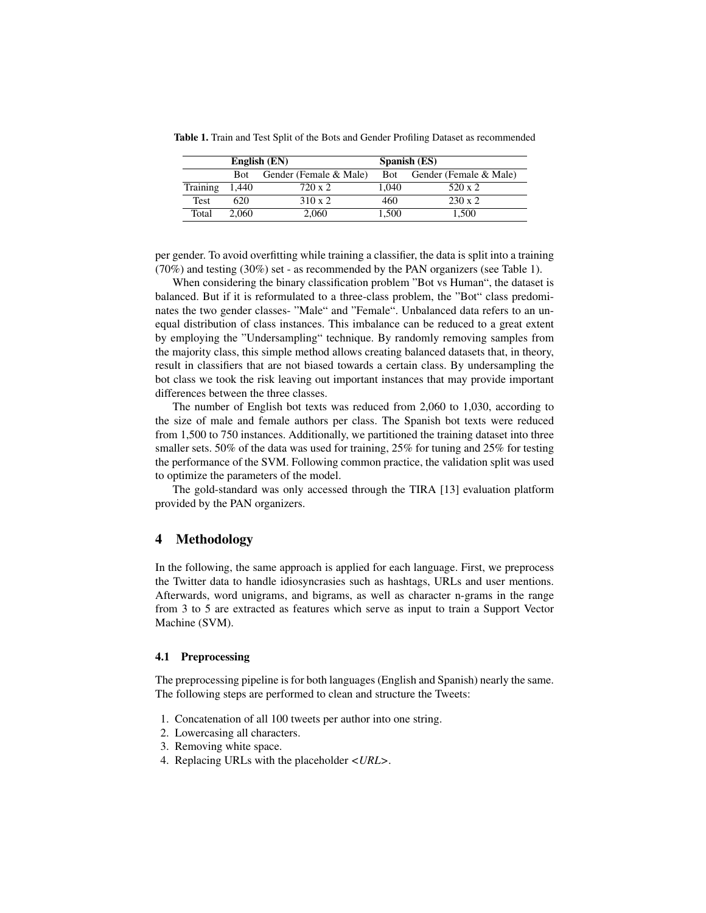|             | English (EN) |                        |            | Spanish (ES)           |  |  |
|-------------|--------------|------------------------|------------|------------------------|--|--|
|             | <b>Bot</b>   | Gender (Female & Male) | <b>Bot</b> | Gender (Female & Male) |  |  |
| Training    | 1.440        | 720 x 2                | 1.040      | 520 x 2                |  |  |
| <b>Test</b> | 620          | $310 \times 2$         | 460        | $230 \times 2$         |  |  |
| Total       | 2.060        | 2.060                  | 1.500      | 1.500                  |  |  |

Table 1. Train and Test Split of the Bots and Gender Profiling Dataset as recommended

per gender. To avoid overfitting while training a classifier, the data is split into a training (70%) and testing (30%) set - as recommended by the PAN organizers (see Table 1).

When considering the binary classification problem "Bot vs Human", the dataset is balanced. But if it is reformulated to a three-class problem, the "Bot" class predominates the two gender classes- "Male" and "Female". Unbalanced data refers to an unequal distribution of class instances. This imbalance can be reduced to a great extent by employing the "Undersampling" technique. By randomly removing samples from the majority class, this simple method allows creating balanced datasets that, in theory, result in classifiers that are not biased towards a certain class. By undersampling the bot class we took the risk leaving out important instances that may provide important differences between the three classes.

The number of English bot texts was reduced from 2,060 to 1,030, according to the size of male and female authors per class. The Spanish bot texts were reduced from 1,500 to 750 instances. Additionally, we partitioned the training dataset into three smaller sets. 50% of the data was used for training, 25% for tuning and 25% for testing the performance of the SVM. Following common practice, the validation split was used to optimize the parameters of the model.

The gold-standard was only accessed through the TIRA [13] evaluation platform provided by the PAN organizers.

## 4 Methodology

In the following, the same approach is applied for each language. First, we preprocess the Twitter data to handle idiosyncrasies such as hashtags, URLs and user mentions. Afterwards, word unigrams, and bigrams, as well as character n-grams in the range from 3 to 5 are extracted as features which serve as input to train a Support Vector Machine (SVM).

#### 4.1 Preprocessing

The preprocessing pipeline is for both languages (English and Spanish) nearly the same. The following steps are performed to clean and structure the Tweets:

- 1. Concatenation of all 100 tweets per author into one string.
- 2. Lowercasing all characters.
- 3. Removing white space.
- 4. Replacing URLs with the placeholder *<URL>*.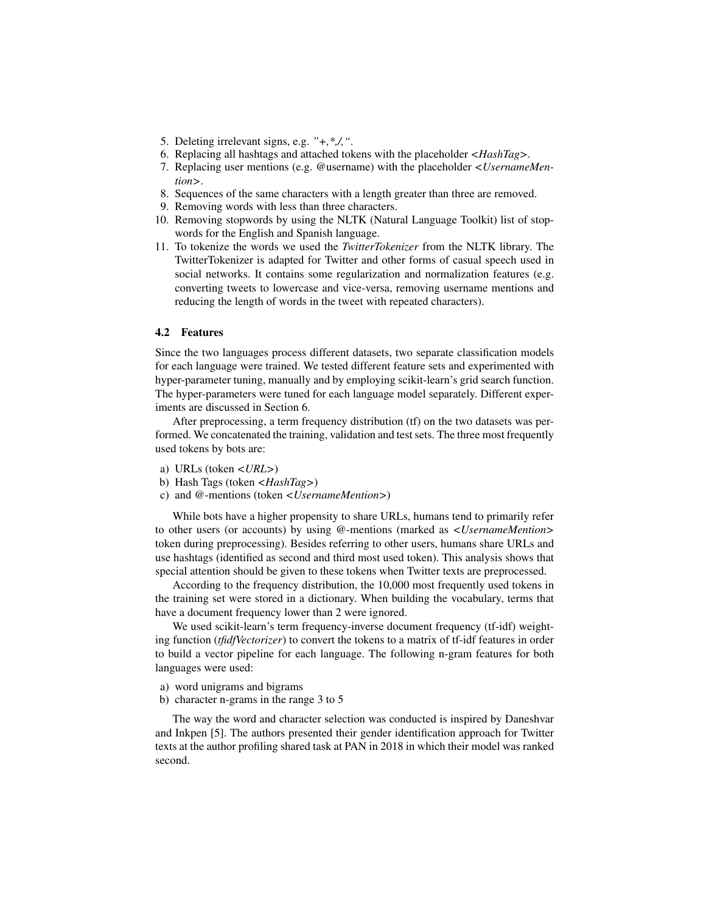- 5. Deleting irrelevant signs, e.g. *"+,\*,/,"*.
- 6. Replacing all hashtags and attached tokens with the placeholder *<HashTag>*.
- 7. Replacing user mentions (e.g. @username) with the placeholder *<UsernameMention>*.
- 8. Sequences of the same characters with a length greater than three are removed.
- 9. Removing words with less than three characters.
- 10. Removing stopwords by using the NLTK (Natural Language Toolkit) list of stopwords for the English and Spanish language.
- 11. To tokenize the words we used the *TwitterTokenizer* from the NLTK library. The TwitterTokenizer is adapted for Twitter and other forms of casual speech used in social networks. It contains some regularization and normalization features (e.g. converting tweets to lowercase and vice-versa, removing username mentions and reducing the length of words in the tweet with repeated characters).

#### 4.2 Features

Since the two languages process different datasets, two separate classification models for each language were trained. We tested different feature sets and experimented with hyper-parameter tuning, manually and by employing scikit-learn's grid search function. The hyper-parameters were tuned for each language model separately. Different experiments are discussed in Section 6.

After preprocessing, a term frequency distribution (tf) on the two datasets was performed. We concatenated the training, validation and test sets. The three most frequently used tokens by bots are:

- a) URLs (token *<URL>*)
- b) Hash Tags (token *<HashTag>*)
- c) and @-mentions (token *<UsernameMention>*)

While bots have a higher propensity to share URLs, humans tend to primarily refer to other users (or accounts) by using @-mentions (marked as *<UsernameMention>* token during preprocessing). Besides referring to other users, humans share URLs and use hashtags (identified as second and third most used token). This analysis shows that special attention should be given to these tokens when Twitter texts are preprocessed.

According to the frequency distribution, the 10,000 most frequently used tokens in the training set were stored in a dictionary. When building the vocabulary, terms that have a document frequency lower than 2 were ignored.

We used scikit-learn's term frequency-inverse document frequency (tf-idf) weighting function (*tfidfVectorizer*) to convert the tokens to a matrix of tf-idf features in order to build a vector pipeline for each language. The following n-gram features for both languages were used:

- a) word unigrams and bigrams
- b) character n-grams in the range 3 to 5

The way the word and character selection was conducted is inspired by Daneshvar and Inkpen [5]. The authors presented their gender identification approach for Twitter texts at the author profiling shared task at PAN in 2018 in which their model was ranked second.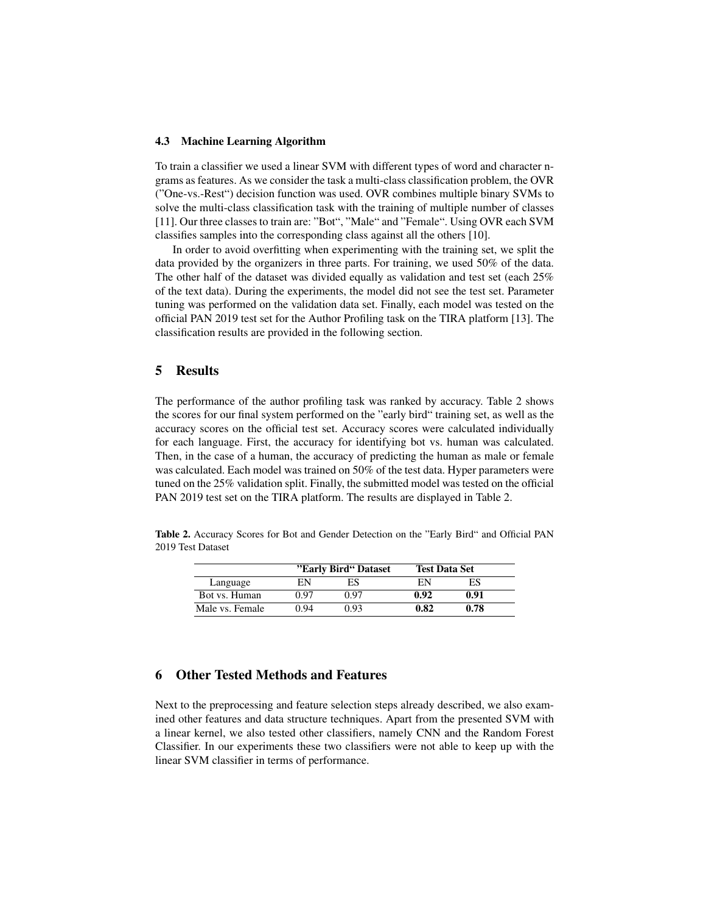#### 4.3 Machine Learning Algorithm

To train a classifier we used a linear SVM with different types of word and character ngrams as features. As we consider the task a multi-class classification problem, the OVR ("One-vs.-Rest") decision function was used. OVR combines multiple binary SVMs to solve the multi-class classification task with the training of multiple number of classes [11]. Our three classes to train are: "Bot", "Male" and "Female". Using OVR each SVM classifies samples into the corresponding class against all the others [10].

In order to avoid overfitting when experimenting with the training set, we split the data provided by the organizers in three parts. For training, we used 50% of the data. The other half of the dataset was divided equally as validation and test set (each 25% of the text data). During the experiments, the model did not see the test set. Parameter tuning was performed on the validation data set. Finally, each model was tested on the official PAN 2019 test set for the Author Profiling task on the TIRA platform [13]. The classification results are provided in the following section.

### 5 Results

The performance of the author profiling task was ranked by accuracy. Table 2 shows the scores for our final system performed on the "early bird" training set, as well as the accuracy scores on the official test set. Accuracy scores were calculated individually for each language. First, the accuracy for identifying bot vs. human was calculated. Then, in the case of a human, the accuracy of predicting the human as male or female was calculated. Each model was trained on 50% of the test data. Hyper parameters were tuned on the 25% validation split. Finally, the submitted model was tested on the official PAN 2019 test set on the TIRA platform. The results are displayed in Table 2.

Table 2. Accuracy Scores for Bot and Gender Detection on the "Early Bird" and Official PAN 2019 Test Dataset

|                 | "Early Bird" Dataset |      | <b>Test Data Set</b> |      |
|-----------------|----------------------|------|----------------------|------|
| Language        | EN                   | ES   | ΕN                   | ES   |
| Bot vs. Human   | 0.97                 | 0.97 | 0.92                 | 0.91 |
| Male vs. Female | 0.94                 | 0.93 | 0.82                 | 0.78 |

## 6 Other Tested Methods and Features

Next to the preprocessing and feature selection steps already described, we also examined other features and data structure techniques. Apart from the presented SVM with a linear kernel, we also tested other classifiers, namely CNN and the Random Forest Classifier. In our experiments these two classifiers were not able to keep up with the linear SVM classifier in terms of performance.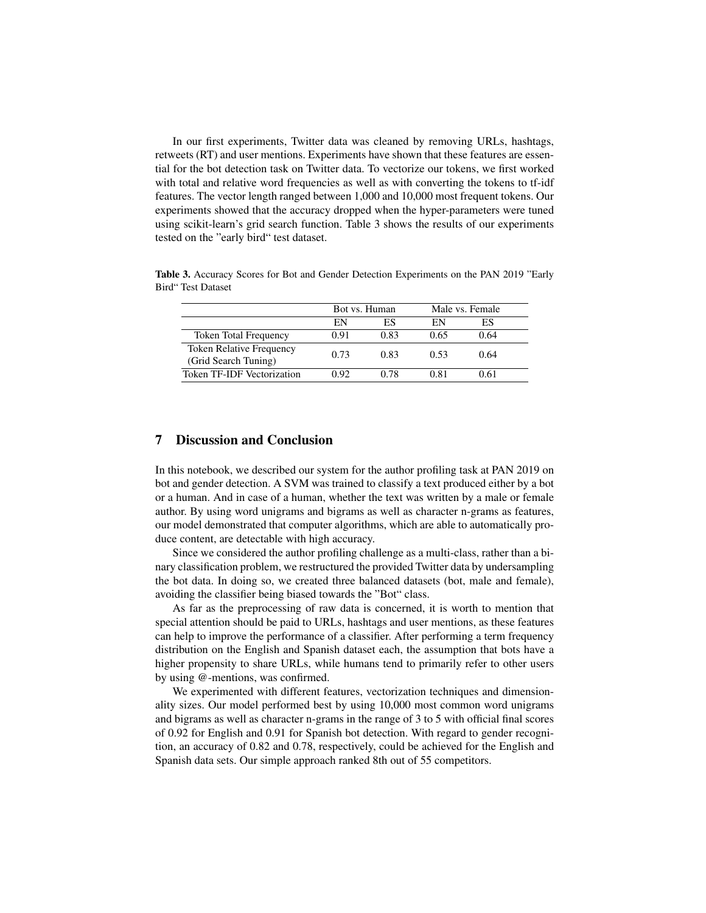In our first experiments, Twitter data was cleaned by removing URLs, hashtags, retweets (RT) and user mentions. Experiments have shown that these features are essential for the bot detection task on Twitter data. To vectorize our tokens, we first worked with total and relative word frequencies as well as with converting the tokens to tf-idf features. The vector length ranged between 1,000 and 10,000 most frequent tokens. Our experiments showed that the accuracy dropped when the hyper-parameters were tuned using scikit-learn's grid search function. Table 3 shows the results of our experiments tested on the "early bird" test dataset.

|                              | Bot vs. Human |      | Male vs. Female |      |  |
|------------------------------|---------------|------|-----------------|------|--|
|                              | EN            | ES   | EN              | ES   |  |
| <b>Token Total Frequency</b> | 0.91          | 0.83 | 0.65            | 0.64 |  |
| Token Relative Frequency     | 0.73          | 0.83 | 0.53            | 0.64 |  |
| (Grid Search Tuning)         |               |      |                 |      |  |
| Token TF-IDF Vectorization   | O 92.         | 0.78 | 0.81            | 0.61 |  |

Table 3. Accuracy Scores for Bot and Gender Detection Experiments on the PAN 2019 "Early Bird" Test Dataset

# 7 Discussion and Conclusion

In this notebook, we described our system for the author profiling task at PAN 2019 on bot and gender detection. A SVM was trained to classify a text produced either by a bot or a human. And in case of a human, whether the text was written by a male or female author. By using word unigrams and bigrams as well as character n-grams as features, our model demonstrated that computer algorithms, which are able to automatically produce content, are detectable with high accuracy.

Since we considered the author profiling challenge as a multi-class, rather than a binary classification problem, we restructured the provided Twitter data by undersampling the bot data. In doing so, we created three balanced datasets (bot, male and female), avoiding the classifier being biased towards the "Bot" class.

As far as the preprocessing of raw data is concerned, it is worth to mention that special attention should be paid to URLs, hashtags and user mentions, as these features can help to improve the performance of a classifier. After performing a term frequency distribution on the English and Spanish dataset each, the assumption that bots have a higher propensity to share URLs, while humans tend to primarily refer to other users by using @-mentions, was confirmed.

We experimented with different features, vectorization techniques and dimensionality sizes. Our model performed best by using 10,000 most common word unigrams and bigrams as well as character n-grams in the range of 3 to 5 with official final scores of 0.92 for English and 0.91 for Spanish bot detection. With regard to gender recognition, an accuracy of 0.82 and 0.78, respectively, could be achieved for the English and Spanish data sets. Our simple approach ranked 8th out of 55 competitors.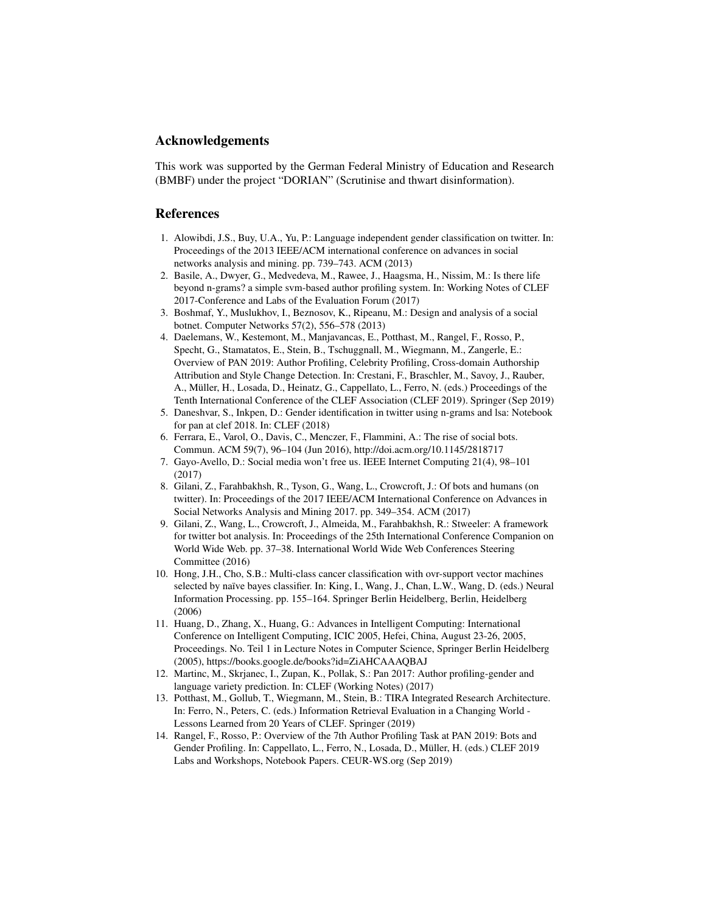# Acknowledgements

This work was supported by the German Federal Ministry of Education and Research (BMBF) under the project "DORIAN" (Scrutinise and thwart disinformation).

### References

- 1. Alowibdi, J.S., Buy, U.A., Yu, P.: Language independent gender classification on twitter. In: Proceedings of the 2013 IEEE/ACM international conference on advances in social networks analysis and mining. pp. 739–743. ACM (2013)
- 2. Basile, A., Dwyer, G., Medvedeva, M., Rawee, J., Haagsma, H., Nissim, M.: Is there life beyond n-grams? a simple svm-based author profiling system. In: Working Notes of CLEF 2017-Conference and Labs of the Evaluation Forum (2017)
- 3. Boshmaf, Y., Muslukhov, I., Beznosov, K., Ripeanu, M.: Design and analysis of a social botnet. Computer Networks 57(2), 556–578 (2013)
- 4. Daelemans, W., Kestemont, M., Manjavancas, E., Potthast, M., Rangel, F., Rosso, P., Specht, G., Stamatatos, E., Stein, B., Tschuggnall, M., Wiegmann, M., Zangerle, E.: Overview of PAN 2019: Author Profiling, Celebrity Profiling, Cross-domain Authorship Attribution and Style Change Detection. In: Crestani, F., Braschler, M., Savoy, J., Rauber, A., Müller, H., Losada, D., Heinatz, G., Cappellato, L., Ferro, N. (eds.) Proceedings of the Tenth International Conference of the CLEF Association (CLEF 2019). Springer (Sep 2019)
- 5. Daneshvar, S., Inkpen, D.: Gender identification in twitter using n-grams and lsa: Notebook for pan at clef 2018. In: CLEF (2018)
- 6. Ferrara, E., Varol, O., Davis, C., Menczer, F., Flammini, A.: The rise of social bots. Commun. ACM 59(7), 96–104 (Jun 2016), http://doi.acm.org/10.1145/2818717
- 7. Gayo-Avello, D.: Social media won't free us. IEEE Internet Computing 21(4), 98–101 (2017)
- 8. Gilani, Z., Farahbakhsh, R., Tyson, G., Wang, L., Crowcroft, J.: Of bots and humans (on twitter). In: Proceedings of the 2017 IEEE/ACM International Conference on Advances in Social Networks Analysis and Mining 2017. pp. 349–354. ACM (2017)
- 9. Gilani, Z., Wang, L., Crowcroft, J., Almeida, M., Farahbakhsh, R.: Stweeler: A framework for twitter bot analysis. In: Proceedings of the 25th International Conference Companion on World Wide Web. pp. 37–38. International World Wide Web Conferences Steering Committee (2016)
- 10. Hong, J.H., Cho, S.B.: Multi-class cancer classification with ovr-support vector machines selected by naïve bayes classifier. In: King, I., Wang, J., Chan, L.W., Wang, D. (eds.) Neural Information Processing. pp. 155–164. Springer Berlin Heidelberg, Berlin, Heidelberg (2006)
- 11. Huang, D., Zhang, X., Huang, G.: Advances in Intelligent Computing: International Conference on Intelligent Computing, ICIC 2005, Hefei, China, August 23-26, 2005, Proceedings. No. Teil 1 in Lecture Notes in Computer Science, Springer Berlin Heidelberg (2005), https://books.google.de/books?id=ZiAHCAAAQBAJ
- 12. Martinc, M., Skrjanec, I., Zupan, K., Pollak, S.: Pan 2017: Author profiling-gender and language variety prediction. In: CLEF (Working Notes) (2017)
- 13. Potthast, M., Gollub, T., Wiegmann, M., Stein, B.: TIRA Integrated Research Architecture. In: Ferro, N., Peters, C. (eds.) Information Retrieval Evaluation in a Changing World - Lessons Learned from 20 Years of CLEF. Springer (2019)
- 14. Rangel, F., Rosso, P.: Overview of the 7th Author Profiling Task at PAN 2019: Bots and Gender Profiling. In: Cappellato, L., Ferro, N., Losada, D., Müller, H. (eds.) CLEF 2019 Labs and Workshops, Notebook Papers. CEUR-WS.org (Sep 2019)